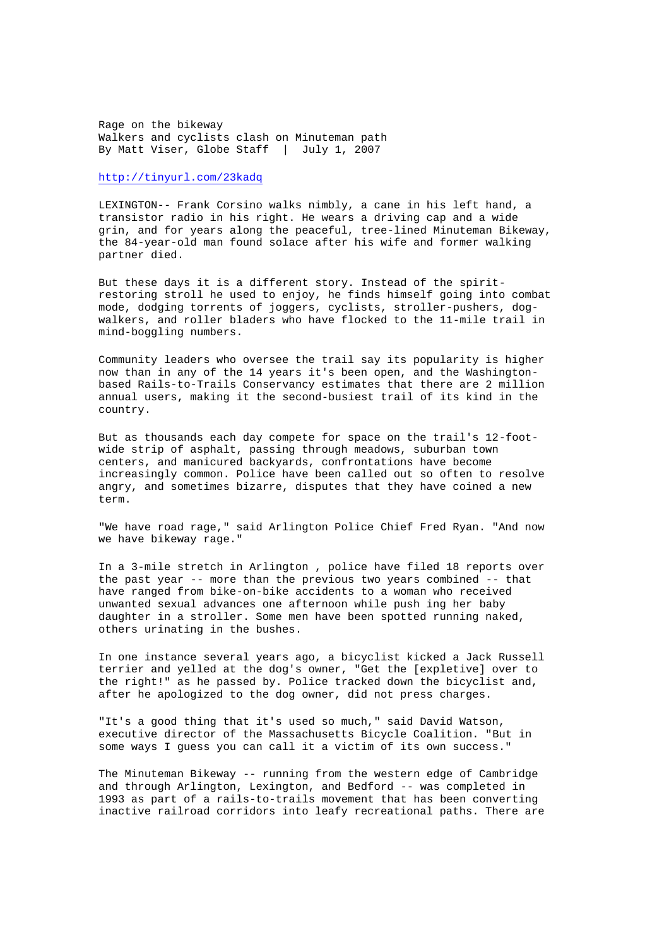Rage on the bikeway Walkers and cyclists clash on Minuteman path By Matt Viser, Globe Staff | July 1, 2007

http://tinyurl.com/23kadq

LEXINGTON-- Frank Corsino walks nimbly, a cane in his left hand, a transistor radio in his right. He wears a driving cap and a wide grin, and for years along the peaceful, tree-lined Minuteman Bikeway, the 84-year-old man found solace after his wife and former walking partner died.

But these days it is a different story. Instead of the spiritrestoring stroll he used to enjoy, he finds himself going into combat mode, dodging torrents of joggers, cyclists, stroller-pushers, dogwalkers, and roller bladers who have flocked to the 11-mile trail in mind-boggling numbers.

Community leaders who oversee the trail say its popularity is higher now than in any of the 14 years it's been open, and the Washingtonbased Rails-to-Trails Conservancy estimates that there are 2 million annual users, making it the second-busiest trail of its kind in the country.

But as thousands each day compete for space on the trail's 12-footwide strip of asphalt, passing through meadows, suburban town centers, and manicured backyards, confrontations have become increasingly common. Police have been called out so often to resolve angry, and sometimes bizarre, disputes that they have coined a new term.

"We have road rage," said Arlington Police Chief Fred Ryan. "And now we have bikeway rage."

In a 3-mile stretch in Arlington , police have filed 18 reports over the past year -- more than the previous two years combined -- that have ranged from bike-on-bike accidents to a woman who received unwanted sexual advances one afternoon while push ing her baby daughter in a stroller. Some men have been spotted running naked, others urinating in the bushes.

In one instance several years ago, a bicyclist kicked a Jack Russell terrier and yelled at the dog's owner, "Get the [expletive] over to the right!" as he passed by. Police tracked down the bicyclist and, after he apologized to the dog owner, did not press charges.

"It's a good thing that it's used so much," said David Watson, executive director of the Massachusetts Bicycle Coalition. "But in some ways I guess you can call it a victim of its own success."

The Minuteman Bikeway -- running from the western edge of Cambridge and through Arlington, Lexington, and Bedford -- was completed in 1993 as part of a rails-to-trails movement that has been converting inactive railroad corridors into leafy recreational paths. There are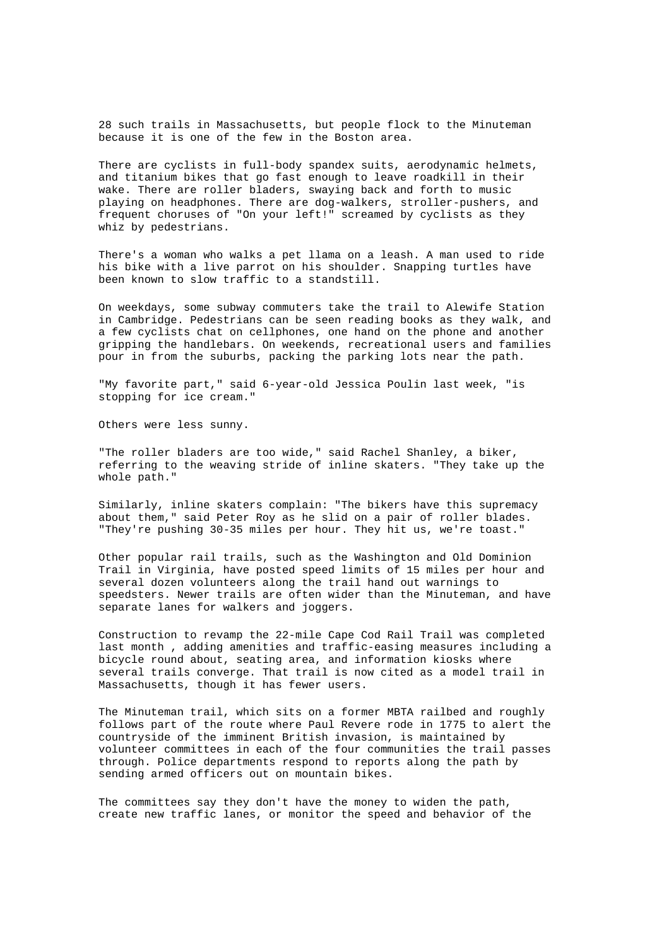28 such trails in Massachusetts, but people flock to the Minuteman because it is one of the few in the Boston area.

There are cyclists in full-body spandex suits, aerodynamic helmets, and titanium bikes that go fast enough to leave roadkill in their wake. There are roller bladers, swaying back and forth to music playing on headphones. There are dog-walkers, stroller-pushers, and frequent choruses of "On your left!" screamed by cyclists as they whiz by pedestrians.

There's a woman who walks a pet llama on a leash. A man used to ride his bike with a live parrot on his shoulder. Snapping turtles have been known to slow traffic to a standstill.

On weekdays, some subway commuters take the trail to Alewife Station in Cambridge. Pedestrians can be seen reading books as they walk, and a few cyclists chat on cellphones, one hand on the phone and another gripping the handlebars. On weekends, recreational users and families pour in from the suburbs, packing the parking lots near the path.

"My favorite part," said 6-year-old Jessica Poulin last week, "is stopping for ice cream."

Others were less sunny.

"The roller bladers are too wide," said Rachel Shanley, a biker, referring to the weaving stride of inline skaters. "They take up the whole path."

Similarly, inline skaters complain: "The bikers have this supremacy about them," said Peter Roy as he slid on a pair of roller blades. "They're pushing 30-35 miles per hour. They hit us, we're toast."

Other popular rail trails, such as the Washington and Old Dominion Trail in Virginia, have posted speed limits of 15 miles per hour and several dozen volunteers along the trail hand out warnings to speedsters. Newer trails are often wider than the Minuteman, and have separate lanes for walkers and joggers.

Construction to revamp the 22-mile Cape Cod Rail Trail was completed last month , adding amenities and traffic-easing measures including a bicycle round about, seating area, and information kiosks where several trails converge. That trail is now cited as a model trail in Massachusetts, though it has fewer users.

The Minuteman trail, which sits on a former MBTA railbed and roughly follows part of the route where Paul Revere rode in 1775 to alert the countryside of the imminent British invasion, is maintained by volunteer committees in each of the four communities the trail passes through. Police departments respond to reports along the path by sending armed officers out on mountain bikes.

The committees say they don't have the money to widen the path, create new traffic lanes, or monitor the speed and behavior of the